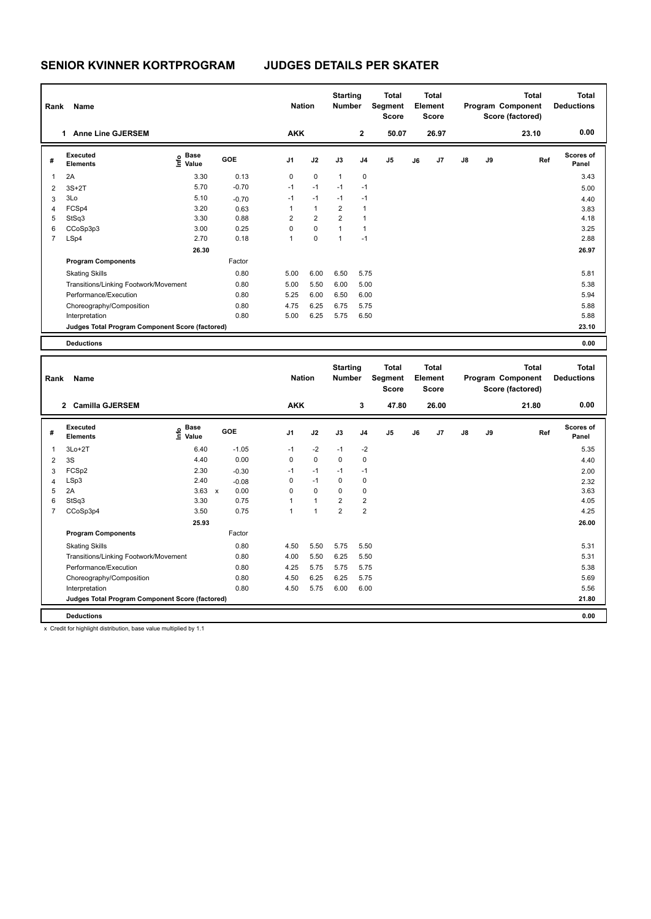| Rank           | Name                                            |                            | <b>Nation</b> |                | <b>Starting</b><br><b>Number</b> | <b>Total</b><br>Segment<br><b>Score</b> | <b>Total</b><br>Element<br><b>Score</b> |       |    |                | <b>Total</b><br>Program Component<br>Score (factored) | <b>Total</b><br><b>Deductions</b> |       |                           |
|----------------|-------------------------------------------------|----------------------------|---------------|----------------|----------------------------------|-----------------------------------------|-----------------------------------------|-------|----|----------------|-------------------------------------------------------|-----------------------------------|-------|---------------------------|
|                | <b>Anne Line GJERSEM</b><br>1                   |                            |               | <b>AKK</b>     |                                  |                                         | $\mathbf{2}$                            | 50.07 |    | 26.97          |                                                       |                                   | 23.10 | 0.00                      |
| #              | Executed<br><b>Elements</b>                     | e Base<br>E Value<br>Value | GOE           | J <sub>1</sub> | J2                               | J3                                      | J <sub>4</sub>                          | J5    | J6 | J <sub>7</sub> | $\mathsf{J}8$                                         | J9                                | Ref   | <b>Scores of</b><br>Panel |
| 1              | 2A                                              | 3.30                       | 0.13          | $\mathbf 0$    | $\pmb{0}$                        | $\mathbf{1}$                            | $\mathbf 0$                             |       |    |                |                                                       |                                   |       | 3.43                      |
| 2              | $3S+2T$                                         | 5.70                       | $-0.70$       | $-1$           | $-1$                             | $-1$                                    | $-1$                                    |       |    |                |                                                       |                                   |       | 5.00                      |
| 3              | 3Lo                                             | 5.10                       | $-0.70$       | $-1$           | $-1$                             | $-1$                                    | $-1$                                    |       |    |                |                                                       |                                   |       | 4.40                      |
| 4              | FCSp4                                           | 3.20                       | 0.63          |                | $\mathbf{1}$                     | $\overline{2}$                          | $\mathbf{1}$                            |       |    |                |                                                       |                                   |       | 3.83                      |
| 5              | StSq3                                           | 3.30                       | 0.88          | $\overline{2}$ | $\overline{2}$                   | $\overline{2}$                          | $\mathbf{1}$                            |       |    |                |                                                       |                                   |       | 4.18                      |
| 6              | CCoSp3p3                                        | 3.00                       | 0.25          | 0              | $\mathbf 0$                      | $\mathbf{1}$                            | $\mathbf{1}$                            |       |    |                |                                                       |                                   |       | 3.25                      |
| $\overline{7}$ | LSp4                                            | 2.70                       | 0.18          | $\mathbf{1}$   | $\pmb{0}$                        | 1                                       | $-1$                                    |       |    |                |                                                       |                                   |       | 2.88                      |
|                |                                                 | 26.30                      |               |                |                                  |                                         |                                         |       |    |                |                                                       |                                   |       | 26.97                     |
|                | <b>Program Components</b>                       |                            | Factor        |                |                                  |                                         |                                         |       |    |                |                                                       |                                   |       |                           |
|                | <b>Skating Skills</b>                           |                            | 0.80          | 5.00           | 6.00                             | 6.50                                    | 5.75                                    |       |    |                |                                                       |                                   |       | 5.81                      |
|                | Transitions/Linking Footwork/Movement           |                            | 0.80          | 5.00           | 5.50                             | 6.00                                    | 5.00                                    |       |    |                |                                                       |                                   |       | 5.38                      |
|                | Performance/Execution                           |                            | 0.80          | 5.25           | 6.00                             | 6.50                                    | 6.00                                    |       |    |                |                                                       |                                   |       | 5.94                      |
|                | Choreography/Composition                        |                            | 0.80          | 4.75           | 6.25                             | 6.75                                    | 5.75                                    |       |    |                |                                                       |                                   |       | 5.88                      |
|                | Interpretation                                  |                            | 0.80          | 5.00           | 6.25                             | 5.75                                    | 6.50                                    |       |    |                |                                                       |                                   |       | 5.88                      |
|                | Judges Total Program Component Score (factored) |                            |               |                |                                  |                                         |                                         |       |    |                |                                                       |                                   |       | 23.10                     |
|                | <b>Deductions</b>                               |                            |               |                |                                  |                                         |                                         |       |    |                |                                                       |                                   |       | 0.00                      |

| Rank           | Name                                            |                                  | <b>Nation</b>        |                | <b>Starting</b><br><b>Number</b> | <b>Total</b><br>Segment<br><b>Score</b> |                | <b>Total</b><br>Element<br>Score |    |                | <b>Total</b><br>Program Component<br>Score (factored) | <b>Total</b><br><b>Deductions</b> |       |                           |
|----------------|-------------------------------------------------|----------------------------------|----------------------|----------------|----------------------------------|-----------------------------------------|----------------|----------------------------------|----|----------------|-------------------------------------------------------|-----------------------------------|-------|---------------------------|
|                | <b>Camilla GJERSEM</b><br>$\overline{2}$        |                                  |                      | <b>AKK</b>     |                                  |                                         | 3              | 47.80                            |    | 26.00          |                                                       |                                   | 21.80 | 0.00                      |
| #              | Executed<br><b>Elements</b>                     | <b>Base</b><br>e Base<br>⊆ Value | GOE                  | J <sub>1</sub> | J2                               | J3                                      | J <sub>4</sub> | J <sub>5</sub>                   | J6 | J <sub>7</sub> | $\mathsf{J}8$                                         | J9                                | Ref   | <b>Scores of</b><br>Panel |
| 1              | $3L0+2T$                                        | 6.40                             | $-1.05$              | $-1$           | $-2$                             | $-1$                                    | $-2$           |                                  |    |                |                                                       |                                   |       | 5.35                      |
| 2              | 3S                                              | 4.40                             | 0.00                 | $\Omega$       | $\mathbf 0$                      | 0                                       | $\mathbf 0$    |                                  |    |                |                                                       |                                   |       | 4.40                      |
| 3              | FCSp2                                           | 2.30                             | $-0.30$              | $-1$           | $-1$                             | $-1$                                    | $-1$           |                                  |    |                |                                                       |                                   |       | 2.00                      |
| 4              | LSp3                                            | 2.40                             | $-0.08$              | $\Omega$       | $-1$                             | $\Omega$                                | $\mathbf 0$    |                                  |    |                |                                                       |                                   |       | 2.32                      |
| 5              | 2A                                              | 3.63                             | 0.00<br>$\mathsf{x}$ | 0              | $\mathbf 0$                      | $\mathbf 0$                             | 0              |                                  |    |                |                                                       |                                   |       | 3.63                      |
| 6              | StSq3                                           | 3.30                             | 0.75                 |                | $\mathbf{1}$                     | $\overline{2}$                          | $\overline{2}$ |                                  |    |                |                                                       |                                   |       | 4.05                      |
| $\overline{7}$ | CCoSp3p4                                        | 3.50                             | 0.75                 | -1             | 1                                | $\overline{2}$                          | $\overline{2}$ |                                  |    |                |                                                       |                                   |       | 4.25                      |
|                |                                                 |                                  |                      |                |                                  |                                         |                |                                  |    |                |                                                       | 26.00                             |       |                           |
|                | <b>Program Components</b>                       |                                  | Factor               |                |                                  |                                         |                |                                  |    |                |                                                       |                                   |       |                           |
|                | <b>Skating Skills</b>                           |                                  | 0.80                 | 4.50           | 5.50                             | 5.75                                    | 5.50           |                                  |    |                |                                                       |                                   |       | 5.31                      |
|                | Transitions/Linking Footwork/Movement           |                                  | 0.80                 | 4.00           | 5.50                             | 6.25                                    | 5.50           |                                  |    |                |                                                       |                                   |       | 5.31                      |
|                | Performance/Execution                           |                                  | 0.80                 | 4.25           | 5.75                             | 5.75                                    | 5.75           |                                  |    |                |                                                       |                                   |       | 5.38                      |
|                | Choreography/Composition                        |                                  | 0.80                 | 4.50           | 6.25                             | 6.25                                    | 5.75           |                                  |    |                |                                                       |                                   |       | 5.69                      |
|                | Interpretation                                  |                                  | 0.80                 | 4.50           | 5.75                             | 6.00                                    | 6.00           |                                  |    |                |                                                       |                                   |       | 5.56                      |
|                | Judges Total Program Component Score (factored) |                                  |                      |                |                                  |                                         |                |                                  |    |                |                                                       |                                   |       | 21.80                     |
|                | <b>Deductions</b>                               |                                  |                      |                |                                  |                                         |                |                                  |    |                |                                                       |                                   |       | 0.00                      |

x Credit for highlight distribution, base value multiplied by 1.1